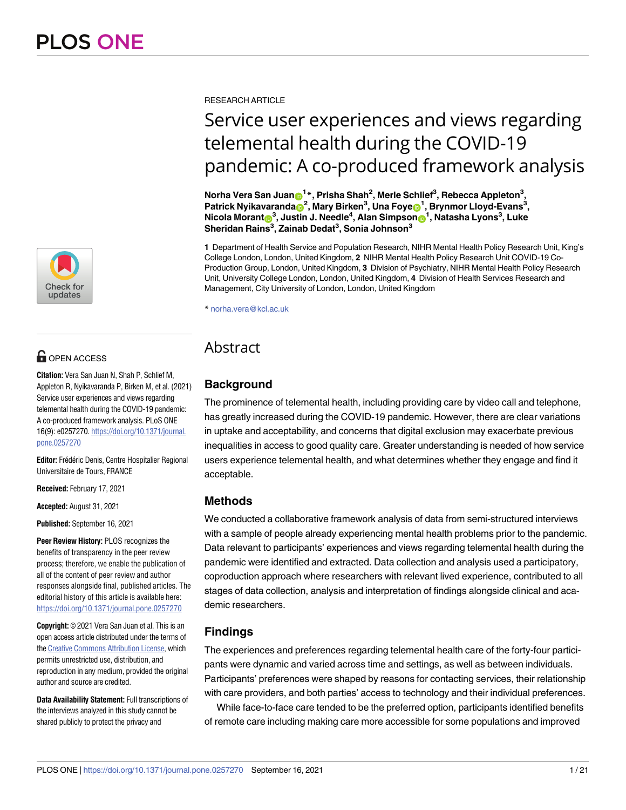

# **OPEN ACCESS**

**Citation:** Vera San Juan N, Shah P, Schlief M, Appleton R, Nyikavaranda P, Birken M, et al. (2021) Service user experiences and views regarding telemental health during the COVID-19 pandemic: A co-produced framework analysis. PLoS ONE 16(9): e0257270. [https://doi.org/10.1371/journal.](https://doi.org/10.1371/journal.pone.0257270) [pone.0257270](https://doi.org/10.1371/journal.pone.0257270)

Editor: Frédéric Denis, Centre Hospitalier Regional Universitaire de Tours, FRANCE

**Received:** February 17, 2021

**Accepted:** August 31, 2021

**Published:** September 16, 2021

**Peer Review History:** PLOS recognizes the benefits of transparency in the peer review process; therefore, we enable the publication of all of the content of peer review and author responses alongside final, published articles. The editorial history of this article is available here: <https://doi.org/10.1371/journal.pone.0257270>

**Copyright:** © 2021 Vera San Juan et al. This is an open access article distributed under the terms of the Creative [Commons](http://creativecommons.org/licenses/by/4.0/) Attribution License, which permits unrestricted use, distribution, and reproduction in any medium, provided the original author and source are credited.

**Data Availability Statement:** Full transcriptions of the interviews analyzed in this study cannot be shared publicly to protect the privacy and

RESEARCH ARTICLE

# Service user experiences and views regarding telemental health during the COVID-19 pandemic: A co-produced framework analysis

 $\mathbf{N}$ orha Vera San Juan $\mathbf{D}^{1\,*},$  Prisha Shah $^2$ , Merle Schlief $^3$ , Rebecca Appleton $^3,$  $\mathbf{P}$ atrick <code>Nyikavaranda $\mathbf{D}^2$ , Mary Birken $^3$ , Una Foye $\mathbf{D}^1$ , Brynmor Lloyd-Evans $^3$ ,</code>  $\blacksquare$  **Morant** $\blacksquare^3$ **, Justin J. Needle** $^4$ **, Alan Simpson** $\blacksquare^1$ **, Natasha Lyons** $^3$ **, Luke Sheridan Rains3 , Zainab Dedat3 , Sonia Johnson3**

**1** Department of Health Service and Population Research, NIHR Mental Health Policy Research Unit, King's College London, London, United Kingdom, **2** NIHR Mental Health Policy Research Unit COVID-19 Co-Production Group, London, United Kingdom, **3** Division of Psychiatry, NIHR Mental Health Policy Research Unit, University College London, London, United Kingdom, **4** Division of Health Services Research and Management, City University of London, London, United Kingdom

\* norha.vera@kcl.ac.uk

## Abstract

### **Background**

The prominence of telemental health, including providing care by video call and telephone, has greatly increased during the COVID-19 pandemic. However, there are clear variations in uptake and acceptability, and concerns that digital exclusion may exacerbate previous inequalities in access to good quality care. Greater understanding is needed of how service users experience telemental health, and what determines whether they engage and find it acceptable.

#### **Methods**

We conducted a collaborative framework analysis of data from semi-structured interviews with a sample of people already experiencing mental health problems prior to the pandemic. Data relevant to participants' experiences and views regarding telemental health during the pandemic were identified and extracted. Data collection and analysis used a participatory, coproduction approach where researchers with relevant lived experience, contributed to all stages of data collection, analysis and interpretation of findings alongside clinical and academic researchers.

## **Findings**

The experiences and preferences regarding telemental health care of the forty-four participants were dynamic and varied across time and settings, as well as between individuals. Participants' preferences were shaped by reasons for contacting services, their relationship with care providers, and both parties' access to technology and their individual preferences.

While face-to-face care tended to be the preferred option, participants identified benefits of remote care including making care more accessible for some populations and improved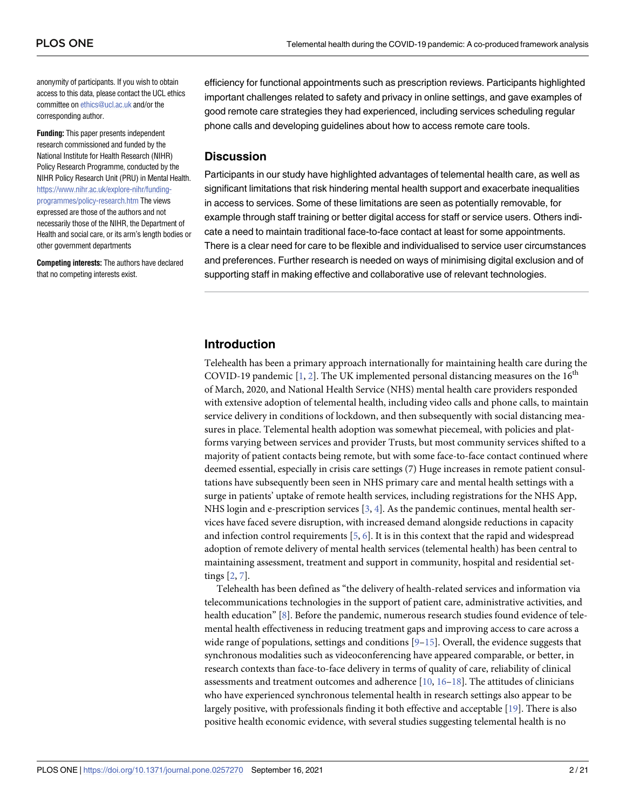<span id="page-1-0"></span>anonymity of participants. If you wish to obtain access to this data, please contact the UCL ethics committee on [ethics@ucl.ac.uk](mailto:ethics@ucl.ac.uk) and/or the corresponding author.

**Funding:** This paper presents independent research commissioned and funded by the National Institute for Health Research (NIHR) Policy Research Programme, conducted by the NIHR Policy Research Unit (PRU) in Mental Health. [https://www.nihr.ac.uk/explore-nihr/funding](https://www.nihr.ac.uk/explore-nihr/funding-programmes/policy-research.htm)[programmes/policy-research.htm](https://www.nihr.ac.uk/explore-nihr/funding-programmes/policy-research.htm) The views expressed are those of the authors and not necessarily those of the NIHR, the Department of Health and social care, or its arm's length bodies or other government departments

**Competing interests:** The authors have declared that no competing interests exist.

efficiency for functional appointments such as prescription reviews. Participants highlighted important challenges related to safety and privacy in online settings, and gave examples of good remote care strategies they had experienced, including services scheduling regular phone calls and developing guidelines about how to access remote care tools.

#### **Discussion**

Participants in our study have highlighted advantages of telemental health care, as well as significant limitations that risk hindering mental health support and exacerbate inequalities in access to services. Some of these limitations are seen as potentially removable, for example through staff training or better digital access for staff or service users. Others indicate a need to maintain traditional face-to-face contact at least for some appointments. There is a clear need for care to be flexible and individualised to service user circumstances and preferences. Further research is needed on ways of minimising digital exclusion and of supporting staff in making effective and collaborative use of relevant technologies.

#### **Introduction**

Telehealth has been a primary approach internationally for maintaining health care during the COVID-19 pandemic  $[1, 2]$  $[1, 2]$  $[1, 2]$  $[1, 2]$ . The UK implemented personal distancing measures on the 16<sup>th</sup> of March, 2020, and National Health Service (NHS) mental health care providers responded with extensive adoption of telemental health, including video calls and phone calls, to maintain service delivery in conditions of lockdown, and then subsequently with social distancing measures in place. Telemental health adoption was somewhat piecemeal, with policies and platforms varying between services and provider Trusts, but most community services shifted to a majority of patient contacts being remote, but with some face-to-face contact continued where deemed essential, especially in crisis care settings (7) Huge increases in remote patient consultations have subsequently been seen in NHS primary care and mental health settings with a surge in patients' uptake of remote health services, including registrations for the NHS App, NHS login and e-prescription services [\[3,](#page-18-0) [4\]](#page-18-0). As the pandemic continues, mental health services have faced severe disruption, with increased demand alongside reductions in capacity and infection control requirements [\[5](#page-18-0), [6](#page-18-0)]. It is in this context that the rapid and widespread adoption of remote delivery of mental health services (telemental health) has been central to maintaining assessment, treatment and support in community, hospital and residential settings [\[2,](#page-18-0) [7\]](#page-18-0).

Telehealth has been defined as "the delivery of health-related services and information via telecommunications technologies in the support of patient care, administrative activities, and health education" [[8\]](#page-18-0). Before the pandemic, numerous research studies found evidence of telemental health effectiveness in reducing treatment gaps and improving access to care across a wide range of populations, settings and conditions  $[9-15]$  $[9-15]$  $[9-15]$  $[9-15]$  $[9-15]$ . Overall, the evidence suggests that synchronous modalities such as videoconferencing have appeared comparable, or better, in research contexts than face-to-face delivery in terms of quality of care, reliability of clinical assessments and treatment outcomes and adherence [\[10,](#page-18-0) [16–18](#page-19-0)]. The attitudes of clinicians who have experienced synchronous telemental health in research settings also appear to be largely positive, with professionals finding it both effective and acceptable [\[19\]](#page-19-0). There is also positive health economic evidence, with several studies suggesting telemental health is no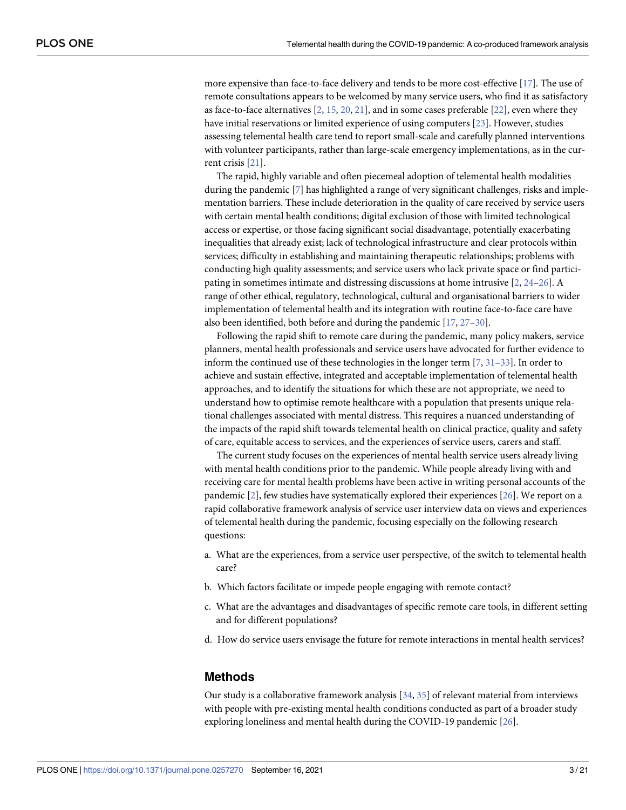<span id="page-2-0"></span>more expensive than face-to-face delivery and tends to be more cost-effective [\[17\]](#page-19-0). The use of remote consultations appears to be welcomed by many service users, who find it as satisfactory as face-to-face alternatives  $[2, 15, 20, 21]$  $[2, 15, 20, 21]$  $[2, 15, 20, 21]$  $[2, 15, 20, 21]$  $[2, 15, 20, 21]$  $[2, 15, 20, 21]$  $[2, 15, 20, 21]$ , and in some cases preferable  $[22]$ , even where they have initial reservations or limited experience of using computers [\[23\]](#page-19-0). However, studies assessing telemental health care tend to report small-scale and carefully planned interventions with volunteer participants, rather than large-scale emergency implementations, as in the current crisis [[21](#page-19-0)].

The rapid, highly variable and often piecemeal adoption of telemental health modalities during the pandemic [\[7\]](#page-18-0) has highlighted a range of very significant challenges, risks and implementation barriers. These include deterioration in the quality of care received by service users with certain mental health conditions; digital exclusion of those with limited technological access or expertise, or those facing significant social disadvantage, potentially exacerbating inequalities that already exist; lack of technological infrastructure and clear protocols within services; difficulty in establishing and maintaining therapeutic relationships; problems with conducting high quality assessments; and service users who lack private space or find participating in sometimes intimate and distressing discussions at home intrusive [\[2,](#page-18-0) [24–26\]](#page-19-0). A range of other ethical, regulatory, technological, cultural and organisational barriers to wider implementation of telemental health and its integration with routine face-to-face care have also been identified, both before and during the pandemic [\[17,](#page-19-0) [27–30](#page-19-0)].

Following the rapid shift to remote care during the pandemic, many policy makers, service planners, mental health professionals and service users have advocated for further evidence to inform the continued use of these technologies in the longer term  $[7, 31–33]$  $[7, 31–33]$  $[7, 31–33]$  $[7, 31–33]$  $[7, 31–33]$  $[7, 31–33]$  $[7, 31–33]$ . In order to achieve and sustain effective, integrated and acceptable implementation of telemental health approaches, and to identify the situations for which these are not appropriate, we need to understand how to optimise remote healthcare with a population that presents unique relational challenges associated with mental distress. This requires a nuanced understanding of the impacts of the rapid shift towards telemental health on clinical practice, quality and safety of care, equitable access to services, and the experiences of service users, carers and staff.

The current study focuses on the experiences of mental health service users already living with mental health conditions prior to the pandemic. While people already living with and receiving care for mental health problems have been active in writing personal accounts of the pandemic [\[2\]](#page-18-0), few studies have systematically explored their experiences [\[26\]](#page-19-0). We report on a rapid collaborative framework analysis of service user interview data on views and experiences of telemental health during the pandemic, focusing especially on the following research questions:

- a. What are the experiences, from a service user perspective, of the switch to telemental health care?
- b. Which factors facilitate or impede people engaging with remote contact?
- c. What are the advantages and disadvantages of specific remote care tools, in different setting and for different populations?
- d. How do service users envisage the future for remote interactions in mental health services?

#### **Methods**

Our study is a collaborative framework analysis [[34](#page-20-0), [35](#page-20-0)] of relevant material from interviews with people with pre-existing mental health conditions conducted as part of a broader study exploring loneliness and mental health during the COVID-19 pandemic [\[26\]](#page-19-0).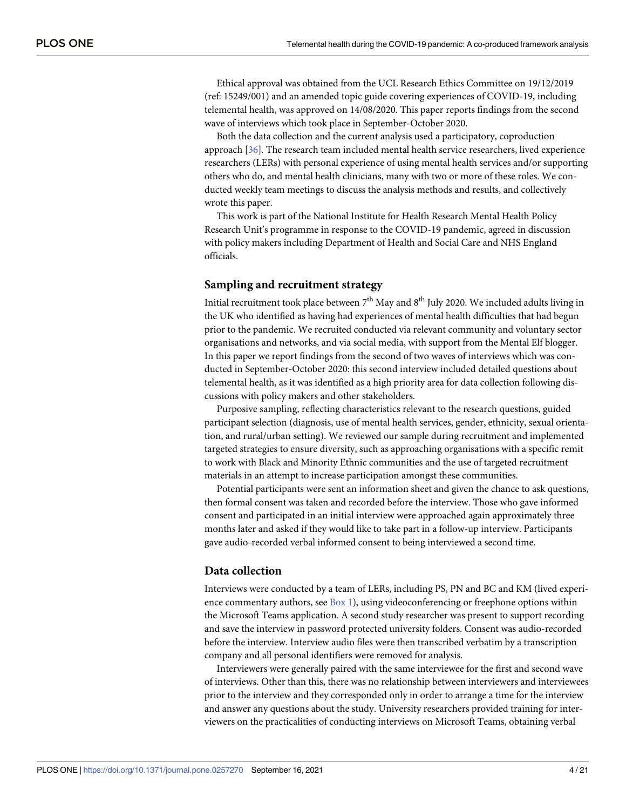<span id="page-3-0"></span>Ethical approval was obtained from the UCL Research Ethics Committee on 19/12/2019 (ref: 15249/001) and an amended topic guide covering experiences of COVID-19, including telemental health, was approved on 14/08/2020. This paper reports findings from the second wave of interviews which took place in September-October 2020.

Both the data collection and the current analysis used a participatory, coproduction approach [[36](#page-20-0)]. The research team included mental health service researchers, lived experience researchers (LERs) with personal experience of using mental health services and/or supporting others who do, and mental health clinicians, many with two or more of these roles. We conducted weekly team meetings to discuss the analysis methods and results, and collectively wrote this paper.

This work is part of the National Institute for Health Research Mental Health Policy Research Unit's programme in response to the COVID-19 pandemic, agreed in discussion with policy makers including Department of Health and Social Care and NHS England officials.

#### **Sampling and recruitment strategy**

Initial recruitment took place between  $7<sup>th</sup>$  May and  $8<sup>th</sup>$  July 2020. We included adults living in the UK who identified as having had experiences of mental health difficulties that had begun prior to the pandemic. We recruited conducted via relevant community and voluntary sector organisations and networks, and via social media, with support from the Mental Elf blogger. In this paper we report findings from the second of two waves of interviews which was conducted in September-October 2020: this second interview included detailed questions about telemental health, as it was identified as a high priority area for data collection following discussions with policy makers and other stakeholders.

Purposive sampling, reflecting characteristics relevant to the research questions, guided participant selection (diagnosis, use of mental health services, gender, ethnicity, sexual orientation, and rural/urban setting). We reviewed our sample during recruitment and implemented targeted strategies to ensure diversity, such as approaching organisations with a specific remit to work with Black and Minority Ethnic communities and the use of targeted recruitment materials in an attempt to increase participation amongst these communities.

Potential participants were sent an information sheet and given the chance to ask questions, then formal consent was taken and recorded before the interview. Those who gave informed consent and participated in an initial interview were approached again approximately three months later and asked if they would like to take part in a follow-up interview. Participants gave audio-recorded verbal informed consent to being interviewed a second time.

#### **Data collection**

Interviews were conducted by a team of LERs, including PS, PN and BC and KM (lived experience commentary authors, see  $Box 1$  $Box 1$ ), using videoconferencing or freephone options within the Microsoft Teams application. A second study researcher was present to support recording and save the interview in password protected university folders. Consent was audio-recorded before the interview. Interview audio files were then transcribed verbatim by a transcription company and all personal identifiers were removed for analysis.

Interviewers were generally paired with the same interviewee for the first and second wave of interviews. Other than this, there was no relationship between interviewers and interviewees prior to the interview and they corresponded only in order to arrange a time for the interview and answer any questions about the study. University researchers provided training for interviewers on the practicalities of conducting interviews on Microsoft Teams, obtaining verbal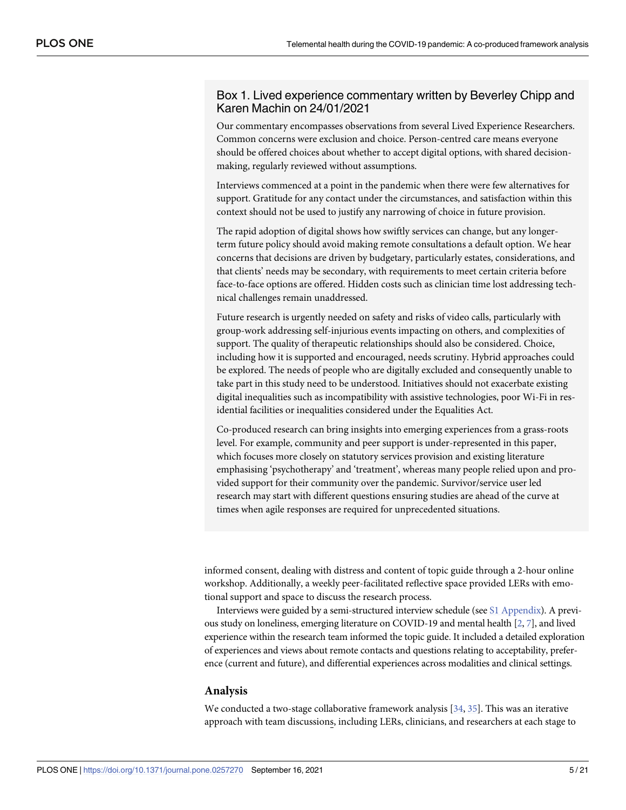#### <span id="page-4-0"></span>Box 1. Lived experience commentary written by Beverley Chipp and Karen Machin on 24/01/2021

Our commentary encompasses observations from several Lived Experience Researchers. Common concerns were exclusion and choice. Person-centred care means everyone should be offered choices about whether to accept digital options, with shared decisionmaking, regularly reviewed without assumptions.

Interviews commenced at a point in the pandemic when there were few alternatives for support. Gratitude for any contact under the circumstances, and satisfaction within this context should not be used to justify any narrowing of choice in future provision.

The rapid adoption of digital shows how swiftly services can change, but any longerterm future policy should avoid making remote consultations a default option. We hear concerns that decisions are driven by budgetary, particularly estates, considerations, and that clients' needs may be secondary, with requirements to meet certain criteria before face-to-face options are offered. Hidden costs such as clinician time lost addressing technical challenges remain unaddressed.

Future research is urgently needed on safety and risks of video calls, particularly with group-work addressing self-injurious events impacting on others, and complexities of support. The quality of therapeutic relationships should also be considered. Choice, including how it is supported and encouraged, needs scrutiny. Hybrid approaches could be explored. The needs of people who are digitally excluded and consequently unable to take part in this study need to be understood. Initiatives should not exacerbate existing digital inequalities such as incompatibility with assistive technologies, poor Wi-Fi in residential facilities or inequalities considered under the Equalities Act.

Co-produced research can bring insights into emerging experiences from a grass-roots level. For example, community and peer support is under-represented in this paper, which focuses more closely on statutory services provision and existing literature emphasising 'psychotherapy' and 'treatment', whereas many people relied upon and provided support for their community over the pandemic. Survivor/service user led research may start with different questions ensuring studies are ahead of the curve at times when agile responses are required for unprecedented situations.

informed consent, dealing with distress and content of topic guide through a 2-hour online workshop. Additionally, a weekly peer-facilitated reflective space provided LERs with emotional support and space to discuss the research process.

Interviews were guided by a semi-structured interview schedule (see S1 [Appendix](#page-17-0)). A previous study on loneliness, emerging literature on COVID-19 and mental health [\[2,](#page-18-0) [7\]](#page-18-0), and lived experience within the research team informed the topic guide. It included a detailed exploration of experiences and views about remote contacts and questions relating to acceptability, preference (current and future), and differential experiences across modalities and clinical settings.

#### **Analysis**

We conducted a two-stage collaborative framework analysis [[34](#page-20-0), [35](#page-20-0)]. This was an iterative approach with team discussions, including LERs, clinicians, and researchers at each stage to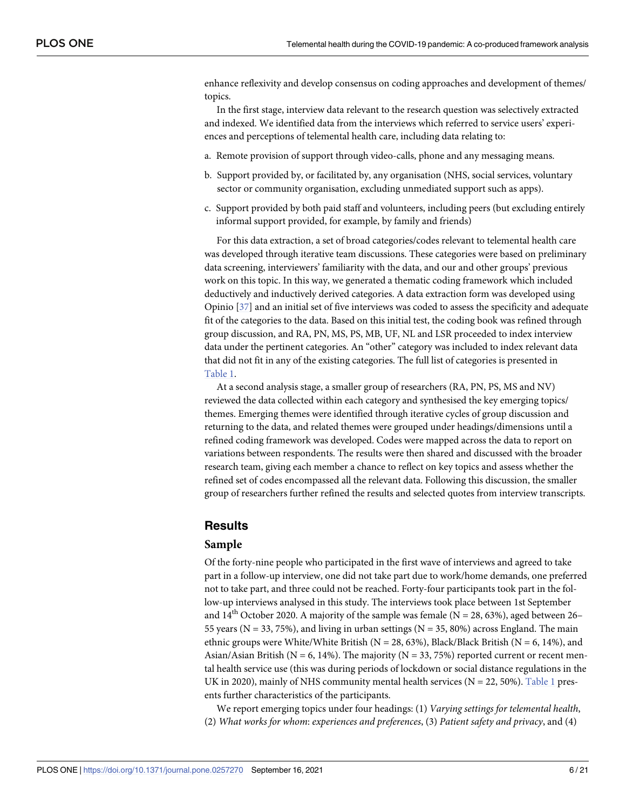<span id="page-5-0"></span>enhance reflexivity and develop consensus on coding approaches and development of themes/ topics.

In the first stage, interview data relevant to the research question was selectively extracted and indexed. We identified data from the interviews which referred to service users' experiences and perceptions of telemental health care, including data relating to:

- a. Remote provision of support through video-calls, phone and any messaging means.
- b. Support provided by, or facilitated by, any organisation (NHS, social services, voluntary sector or community organisation, excluding unmediated support such as apps).
- c. Support provided by both paid staff and volunteers, including peers (but excluding entirely informal support provided, for example, by family and friends)

For this data extraction, a set of broad categories/codes relevant to telemental health care was developed through iterative team discussions. These categories were based on preliminary data screening, interviewers' familiarity with the data, and our and other groups' previous work on this topic. In this way, we generated a thematic coding framework which included deductively and inductively derived categories. A data extraction form was developed using Opinio [\[37\]](#page-20-0) and an initial set of five interviews was coded to assess the specificity and adequate fit of the categories to the data. Based on this initial test, the coding book was refined through group discussion, and RA, PN, MS, PS, MB, UF, NL and LSR proceeded to index interview data under the pertinent categories. An "other" category was included to index relevant data that did not fit in any of the existing categories. The full list of categories is presented in [Table](#page-6-0) 1.

At a second analysis stage, a smaller group of researchers (RA, PN, PS, MS and NV) reviewed the data collected within each category and synthesised the key emerging topics/ themes. Emerging themes were identified through iterative cycles of group discussion and returning to the data, and related themes were grouped under headings/dimensions until a refined coding framework was developed. Codes were mapped across the data to report on variations between respondents. The results were then shared and discussed with the broader research team, giving each member a chance to reflect on key topics and assess whether the refined set of codes encompassed all the relevant data. Following this discussion, the smaller group of researchers further refined the results and selected quotes from interview transcripts.

#### **Results**

#### **Sample**

Of the forty-nine people who participated in the first wave of interviews and agreed to take part in a follow-up interview, one did not take part due to work/home demands, one preferred not to take part, and three could not be reached. Forty-four participants took part in the follow-up interviews analysed in this study. The interviews took place between 1st September and  $14<sup>th</sup>$  October 2020. A majority of the sample was female (N = 28, 63%), aged between 26– 55 years ( $N = 33, 75\%$ ), and living in urban settings ( $N = 35, 80\%$ ) across England. The main ethnic groups were White/White British ( $N = 28, 63\%$ ), Black/Black British ( $N = 6, 14\%$ ), and Asian/Asian British ( $N = 6$ , 14%). The majority ( $N = 33, 75%$ ) reported current or recent mental health service use (this was during periods of lockdown or social distance regulations in the UK in 2020), mainly of NHS community mental health services ( $N = 22, 50\%$ ). [Table](#page-6-0) 1 presents further characteristics of the participants.

We report emerging topics under four headings: (1) *Varying settings for telemental health*, (2) *What works for whom*: *experiences and preferences*, (3) *Patient safety and privacy*, and (4)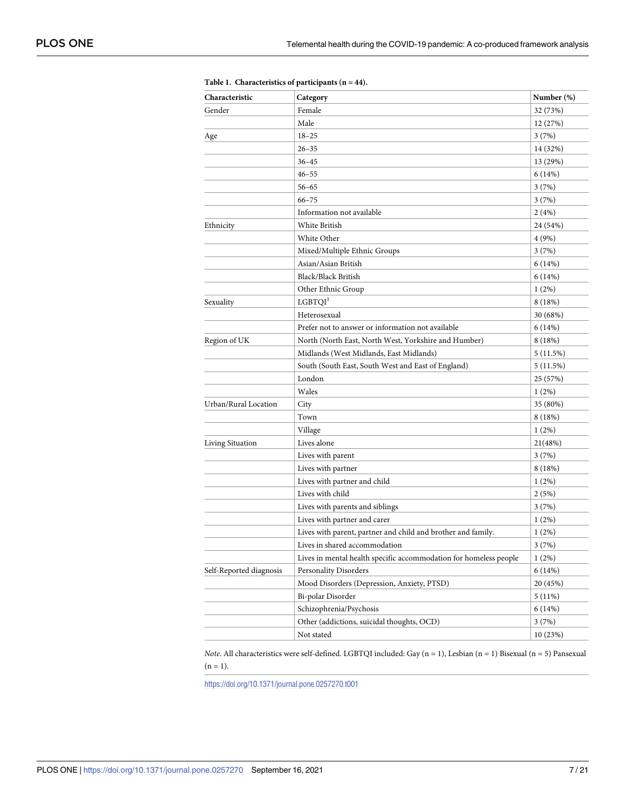| Characteristic          | Category                                                          | Number (%) |
|-------------------------|-------------------------------------------------------------------|------------|
| Gender                  | Female                                                            | 32 (73%)   |
|                         | Male                                                              | 12 (27%)   |
| Age                     | $18 - 25$                                                         | 3(7%)      |
|                         | $26 - 35$                                                         | 14 (32%)   |
|                         | $36 - 45$                                                         | 13 (29%)   |
|                         | $46 - 55$                                                         | 6(14%)     |
|                         | $56 - 65$                                                         | 3(7%)      |
|                         | $66 - 75$                                                         | 3 (7%)     |
|                         | Information not available                                         | 2(4%)      |
| Ethnicity               | White British                                                     | 24 (54%)   |
|                         | White Other                                                       | 4 (9%)     |
|                         | Mixed/Multiple Ethnic Groups                                      | 3(7%)      |
|                         | Asian/Asian British                                               | 6 (14%)    |
|                         | Black/Black British                                               | 6 (14%)    |
|                         | Other Ethnic Group                                                | 1(2%)      |
| Sexuality               | LGBTQI <sup>1</sup>                                               | 8(18%)     |
|                         | Heterosexual                                                      | 30 (68%)   |
|                         | Prefer not to answer or information not available                 | 6(14%)     |
| Region of UK            | North (North East, North West, Yorkshire and Humber)              | 8(18%)     |
|                         | Midlands (West Midlands, East Midlands)                           | 5 (11.5%)  |
|                         | South (South East, South West and East of England)                | 5(11.5%)   |
|                         | London                                                            | 25 (57%)   |
|                         | Wales                                                             | 1(2%)      |
| Urban/Rural Location    | City                                                              | 35 (80%)   |
|                         | Town                                                              | 8 (18%)    |
|                         | Village                                                           | 1(2%)      |
| Living Situation        | Lives alone                                                       | 21(48%)    |
|                         | Lives with parent                                                 | 3 (7%)     |
|                         | Lives with partner                                                | 8 (18%)    |
|                         | Lives with partner and child                                      | 1(2%)      |
|                         | Lives with child                                                  | 2 (5%)     |
|                         | Lives with parents and siblings                                   | 3(7%)      |
|                         | Lives with partner and carer                                      | 1(2%)      |
|                         | Lives with parent, partner and child and brother and family.      | 1(2%)      |
|                         | Lives in shared accommodation                                     | 3(7%)      |
|                         | Lives in mental health specific accommodation for homeless people | 1(2%)      |
| Self-Reported diagnosis | <b>Personality Disorders</b>                                      | 6(14%)     |
|                         | Mood Disorders (Depression, Anxiety, PTSD)                        | 20 (45%)   |
|                         | Bi-polar Disorder                                                 | $5(11\%)$  |
|                         | Schizophrenia/Psychosis                                           | 6 (14%)    |
|                         | Other (addictions, suicidal thoughts, OCD)                        | 3(7%)      |
|                         | Not stated                                                        | 10(23%)    |

<span id="page-6-0"></span>**[Table](#page-5-0) 1. Characteristics of participants (n = 44).**

*Note*. All characteristics were self-defined. LGBTQI included: Gay (n = 1), Lesbian (n = 1) Bisexual (n = 5) Pansexual  $(n = 1)$ .

<https://doi.org/10.1371/journal.pone.0257270.t001>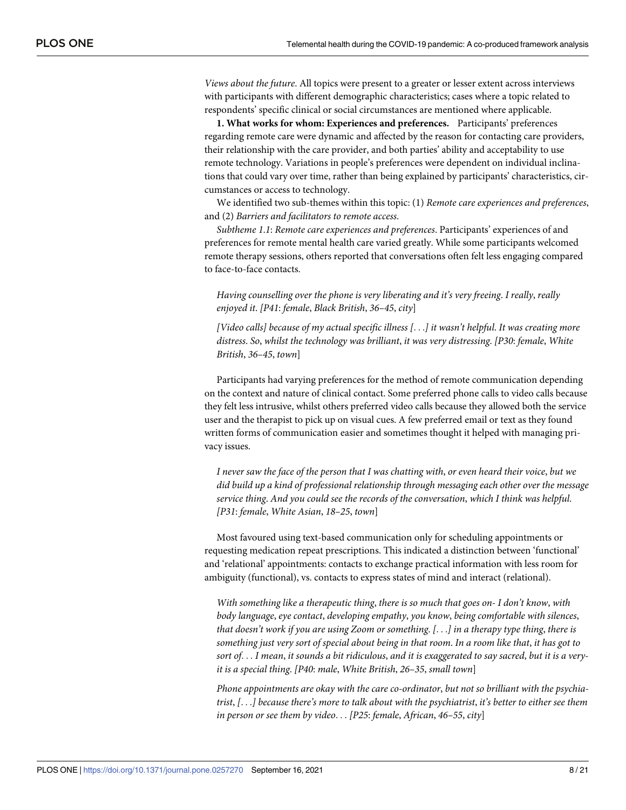*Views about the future*. All topics were present to a greater or lesser extent across interviews with participants with different demographic characteristics; cases where a topic related to respondents' specific clinical or social circumstances are mentioned where applicable.

**1. What works for whom: Experiences and preferences.** Participants' preferences regarding remote care were dynamic and affected by the reason for contacting care providers, their relationship with the care provider, and both parties' ability and acceptability to use remote technology. Variations in people's preferences were dependent on individual inclinations that could vary over time, rather than being explained by participants' characteristics, circumstances or access to technology.

We identified two sub-themes within this topic: (1) *Remote care experiences and preferences*, and (2) *Barriers and facilitators to remote access*.

*Subtheme 1*.*1*: *Remote care experiences and preferences*. Participants' experiences of and preferences for remote mental health care varied greatly. While some participants welcomed remote therapy sessions, others reported that conversations often felt less engaging compared to face-to-face contacts.

*Having counselling over the phone is very liberating and it's very freeing*. *I really*, *really enjoyed it*. *[P41*: *female*, *Black British*, *36–45*, *city*]

*[Video calls] because of my actual specific illness [*. . .*] it wasn't helpful*. *It was creating more distress*. *So*, *whilst the technology was brilliant*, *it was very distressing*. *[P30*: *female*, *White British*, *36–45*, *town*]

Participants had varying preferences for the method of remote communication depending on the context and nature of clinical contact. Some preferred phone calls to video calls because they felt less intrusive, whilst others preferred video calls because they allowed both the service user and the therapist to pick up on visual cues. A few preferred email or text as they found written forms of communication easier and sometimes thought it helped with managing privacy issues.

I never saw the face of the person that I was chatting with, or even heard their voice, but we *did build up a kind of professional relationship through messaging each other over the message service thing*. *And you could see the records of the conversation*, *which I think was helpful*. *[P31*: *female*, *White Asian*, *18–25*, *town*]

Most favoured using text-based communication only for scheduling appointments or requesting medication repeat prescriptions. This indicated a distinction between 'functional' and 'relational' appointments: contacts to exchange practical information with less room for ambiguity (functional), vs. contacts to express states of mind and interact (relational).

*With something like a therapeutic thing*, *there is so much that goes on- I don't know*, *with body language*, *eye contact*, *developing empathy*, *you know*, *being comfortable with silences*, that doesn't work if you are using Zoom or something.  $[\ldots]$  in a therapy type thing, there is something just very sort of special about being in that room. In a room like that, it has got to sort of... I mean, it sounds a bit ridiculous, and it is exaggerated to say sacred, but it is a very*it is a special thing*. *[P40*: *male*, *White British*, *26–35*, *small town*]

*Phone appointments are okay with the care co-ordinator*, *but not so brilliant with the psychia*trist,  $[...]$  because there's more to talk about with the psychiatrist, it's better to either see them *in person or see them by video*. . . *[P25*: *female*, *African*, *46–55*, *city*]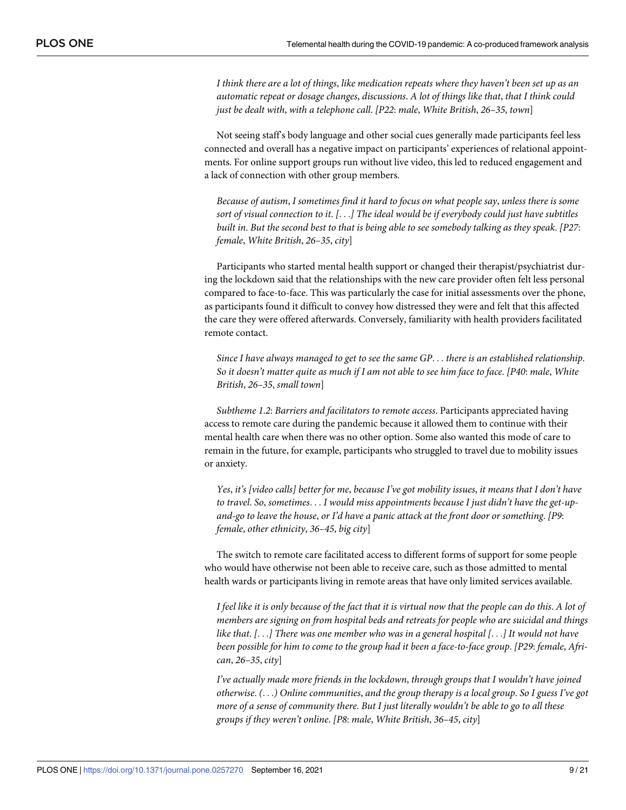I think there are a lot of things, like medication repeats where they haven't been set up as an *automatic repeat or dosage changes*, *discussions*. *A lot of things like that*, *that I think could just be dealt with*, *with a telephone call*. *[P22*: *male*, *White British*, *26–35*, *town*]

Not seeing staff's body language and other social cues generally made participants feel less connected and overall has a negative impact on participants' experiences of relational appointments. For online support groups run without live video, this led to reduced engagement and a lack of connection with other group members.

*Because of autism*, *I sometimes find it hard to focus on what people say*, *unless there is some sort of visual connection to it*. *[*. . .*] The ideal would be if everybody could just have subtitles* built in. But the second best to that is being able to see somebody talking as they speak. [P27: *female*, *White British*, *26–35*, *city*]

Participants who started mental health support or changed their therapist/psychiatrist during the lockdown said that the relationships with the new care provider often felt less personal compared to face-to-face. This was particularly the case for initial assessments over the phone, as participants found it difficult to convey how distressed they were and felt that this affected the care they were offered afterwards. Conversely, familiarity with health providers facilitated remote contact.

*Since I have always managed to get to see the same GP*. . . *there is an established relationship*. So it doesn't matter quite as much if I am not able to see him face to face. [P40: male, White *British*, *26–35*, *small town*]

*Subtheme 1*.*2*: *Barriers and facilitators to remote access*. Participants appreciated having access to remote care during the pandemic because it allowed them to continue with their mental health care when there was no other option. Some also wanted this mode of care to remain in the future, for example, participants who struggled to travel due to mobility issues or anxiety.

Yes, it's [video calls] better for me, because I've got mobility issues, it means that I don't have *to travel*. *So*, *sometimes*. . . *I would miss appointments because I just didn't have the get-upand-go to leave the house*, *or I'd have a panic attack at the front door or something*. *[P9*: *female*, *other ethnicity*, *36–45*, *big city*]

The switch to remote care facilitated access to different forms of support for some people who would have otherwise not been able to receive care, such as those admitted to mental health wards or participants living in remote areas that have only limited services available.

I feel like it is only because of the fact that it is virtual now that the people can do this. A lot of *members are signing on from hospital beds and retreats for people who are suicidal and things* like that. [...] There was one member who was in a general hospital [...] It would not have *been possible for him to come to the group had it been a face-to-face group*. *[P29*: *female*, *African*, *26–35*, *city*]

*I've actually made more friends in the lockdown*, *through groups that I wouldn't have joined otherwise*. *(*. . .*) Online communities*, *and the group therapy is a local group*. *So I guess I've got* more of a sense of community there. But I just literally wouldn't be able to go to all these *groups if they weren't online*. *[P8*: *male*, *White British*, *36–45*, *city*]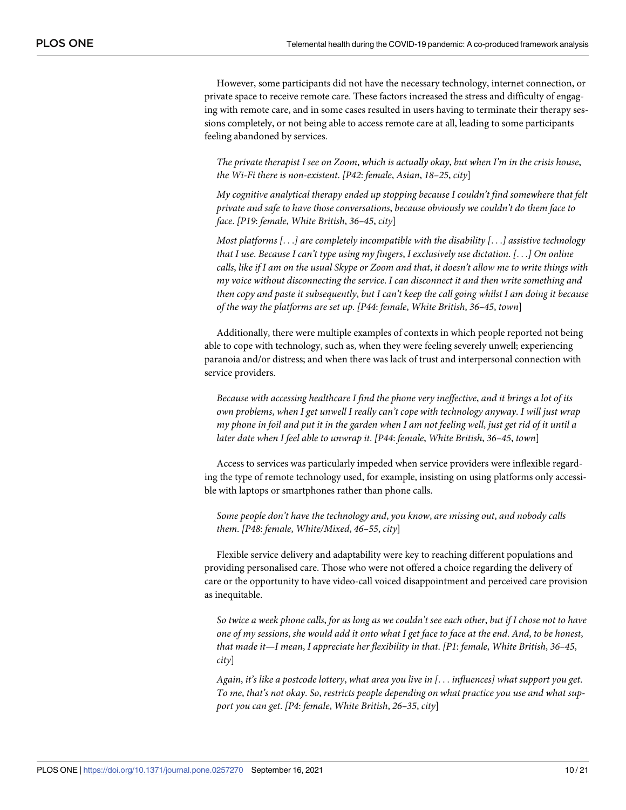However, some participants did not have the necessary technology, internet connection, or private space to receive remote care. These factors increased the stress and difficulty of engaging with remote care, and in some cases resulted in users having to terminate their therapy sessions completely, or not being able to access remote care at all, leading to some participants feeling abandoned by services.

*The private therapist I see on Zoom*, *which is actually okay*, *but when I'm in the crisis house*, *the Wi-Fi there is non-existent*. *[P42*: *female*, *Asian*, *18–25*, *city*]

*My cognitive analytical therapy ended up stopping because I couldn't find somewhere that felt private and safe to have those conversations*, *because obviously we couldn't do them face to face*. *[P19*: *female*, *White British*, *36–45*, *city*]

*Most platforms [*. . .*] are completely incompatible with the disability [*. . .*] assistive technology that I use*. *Because I can't type using my fingers*, *I exclusively use dictation*. *[*. . .*] On online* calls, like if I am on the usual Skype or Zoom and that, it doesn't allow me to write things with *my voice without disconnecting the service*. *I can disconnect it and then write something and* then copy and paste it subsequently, but I can't keep the call going whilst I am doing it because *of the way the platforms are set up*. *[P44*: *female*, *White British*, *36–45*, *town*]

Additionally, there were multiple examples of contexts in which people reported not being able to cope with technology, such as, when they were feeling severely unwell; experiencing paranoia and/or distress; and when there was lack of trust and interpersonal connection with service providers.

*Because with accessing healthcare I find the phone very ineffective*, *and it brings a lot of its own problems*, *when I get unwell I really can't cope with technology anyway*. *I will just wrap* my phone in foil and put it in the garden when I am not feeling well, just get rid of it until a *later date when I feel able to unwrap it*. *[P44*: *female*, *White British*, *36–45*, *town*]

Access to services was particularly impeded when service providers were inflexible regarding the type of remote technology used, for example, insisting on using platforms only accessible with laptops or smartphones rather than phone calls.

*Some people don't have the technology and*, *you know*, *are missing out*, *and nobody calls them*. *[P48*: *female*, *White/Mixed*, *46–55*, *city*]

Flexible service delivery and adaptability were key to reaching different populations and providing personalised care. Those who were not offered a choice regarding the delivery of care or the opportunity to have video-call voiced disappointment and perceived care provision as inequitable.

So twice a week phone calls, for as long as we couldn't see each other, but if I chose not to have one of my sessions, she would add it onto what I get face to face at the end. And, to be honest, *that made it—I mean*, *I appreciate her flexibility in that*. *[P1*: *female*, *White British*, *36–45*, *city*]

*Again*, *it's like a postcode lottery*, *what area you live in [*. . . *influences] what support you get*. *To me*, *that's not okay*. *So*, *restricts people depending on what practice you use and what support you can get*. *[P4*: *female*, *White British*, *26–35*, *city*]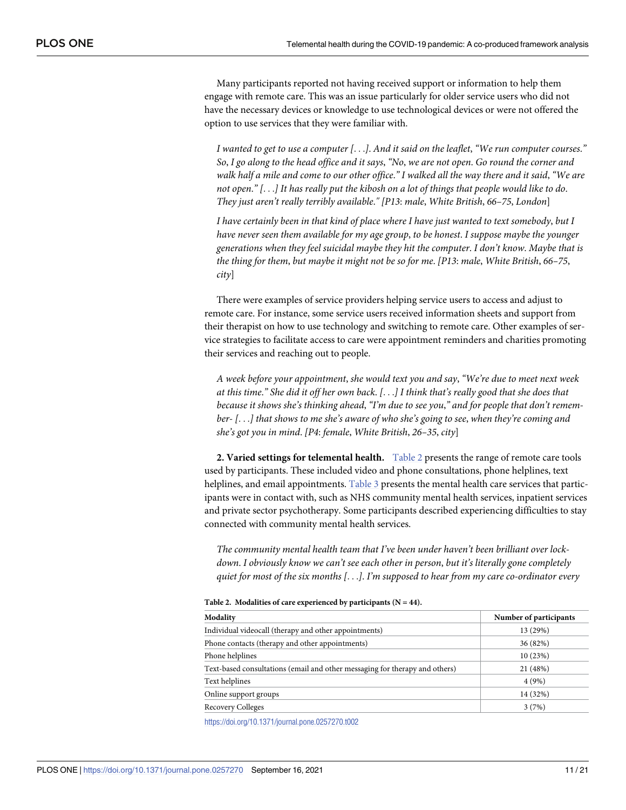<span id="page-10-0"></span>Many participants reported not having received support or information to help them engage with remote care. This was an issue particularly for older service users who did not have the necessary devices or knowledge to use technological devices or were not offered the option to use services that they were familiar with.

I wanted to get to use a computer  $[\ldots]$ . And it said on the leaflet, "We run computer courses." So, I go along to the head office and it says, "No, we are not open. Go round the corner and walk half a mile and come to our other office." I walked all the way there and it said, "We are not open."  $[...]$  It has really put the kibosh on a lot of things that people would like to do. *They just aren't really terribly available*.*" [P13*: *male*, *White British*, *66–75*, *London*]

I have certainly been in that kind of place where I have just wanted to text somebody, but I *have never seen them available for my age group*, *to be honest*. *I suppose maybe the younger generations when they feel suicidal maybe they hit the computer*. *I don't know*. *Maybe that is the thing for them*, *but maybe it might not be so for me*. *[P13*: *male*, *White British*, *66–75*, *city*]

There were examples of service providers helping service users to access and adjust to remote care. For instance, some service users received information sheets and support from their therapist on how to use technology and switching to remote care. Other examples of service strategies to facilitate access to care were appointment reminders and charities promoting their services and reaching out to people.

*A week before your appointment*, *she would text you and say*, *"We're due to meet next week* at this time." She did it off her own back. [...] I think that's really good that she does that *because it shows she's thinking ahead*, *"I'm due to see you*,*" and for people that don't remem*ber- [...] that shows to me she's aware of who she's going to see, when they're coming and *she's got you in mind*. *[P4*: *female*, *White British*, *26–35*, *city*]

**2. Varied settings for telemental health.** Table 2 presents the range of remote care tools used by participants. These included video and phone consultations, phone helplines, text helplines, and email appointments. [Table](#page-11-0) 3 presents the mental health care services that participants were in contact with, such as NHS community mental health services, inpatient services and private sector psychotherapy. Some participants described experiencing difficulties to stay connected with community mental health services.

*The community mental health team that I've been under haven't been brilliant over lockdown*. *I obviously know we can't see each other in person*, *but it's literally gone completely quiet for most of the six months [*. . .*]*. *I'm supposed to hear from my care co-ordinator every*

| Modality                                                                    | Number of participants |
|-----------------------------------------------------------------------------|------------------------|
| Individual videocall (therapy and other appointments)                       | 13 (29%)               |
| Phone contacts (therapy and other appointments)                             | 36 (82%)               |
| Phone helplines                                                             | 10(23%)                |
| Text-based consultations (email and other messaging for therapy and others) | 21 (48%)               |
| Text helplines                                                              | 4(9%)                  |
| Online support groups                                                       | 14 (32%)               |
| <b>Recovery Colleges</b>                                                    | 3(7%)                  |

**Table 2. Modalities of care experienced by participants (N = 44).**

<https://doi.org/10.1371/journal.pone.0257270.t002>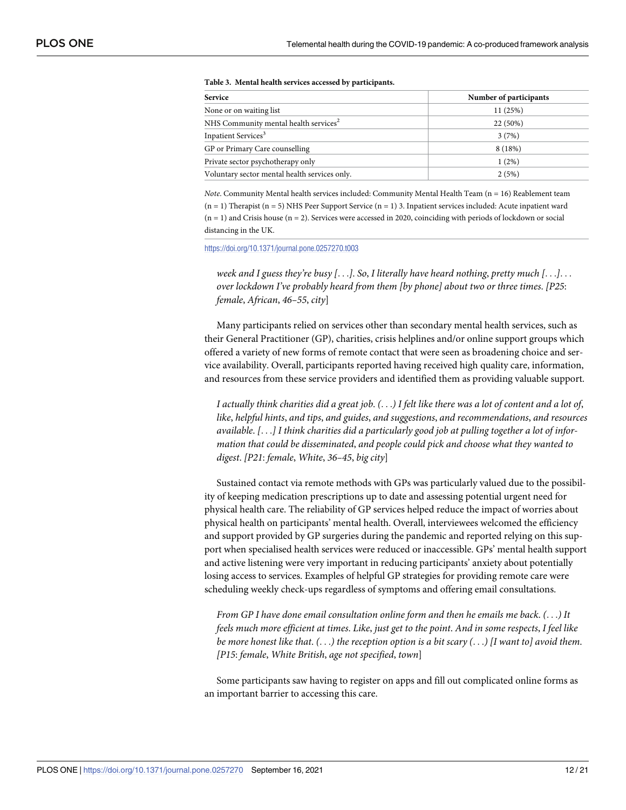<span id="page-11-0"></span>

| <b>Service</b>                                    | Number of participants |  |
|---------------------------------------------------|------------------------|--|
| None or on waiting list                           | 11 (25%)               |  |
| NHS Community mental health services <sup>2</sup> | 22 (50%)               |  |
| Inpatient Services <sup>3</sup>                   | 3(7%)                  |  |
| GP or Primary Care counselling                    | 8(18%)                 |  |
| Private sector psychotherapy only                 | 1(2%)                  |  |
| Voluntary sector mental health services only.     | 2(5%)                  |  |

#### **[Table](#page-10-0) 3. Mental health services accessed by participants.**

*Note*. Community Mental health services included: Community Mental Health Team (n = 16) Reablement team (n = 1) Therapist (n = 5) NHS Peer Support Service (n = 1) 3. Inpatient services included: Acute inpatient ward (n = 1) and Crisis house (n = 2). Services were accessed in 2020, coinciding with periods of lockdown or social distancing in the UK.

<https://doi.org/10.1371/journal.pone.0257270.t003>

week and I guess they're busy [...]. So, I literally have heard nothing, pretty much [...]... *over lockdown I've probably heard from them [by phone] about two or three times*. *[P25*: *female*, *African*, *46–55*, *city*]

Many participants relied on services other than secondary mental health services, such as their General Practitioner (GP), charities, crisis helplines and/or online support groups which offered a variety of new forms of remote contact that were seen as broadening choice and service availability. Overall, participants reported having received high quality care, information, and resources from these service providers and identified them as providing valuable support.

I actually think charities did a great job.  $( \ldots )$  I felt like there was a lot of content and a lot of, *like*, *helpful hints*, *and tips*, *and guides*, *and suggestions*, *and recommendations*, *and resources* available. [...] I think charities did a particularly good job at pulling together a lot of infor*mation that could be disseminated*, *and people could pick and choose what they wanted to digest*. *[P21*: *female*, *White*, *36–45*, *big city*]

Sustained contact via remote methods with GPs was particularly valued due to the possibility of keeping medication prescriptions up to date and assessing potential urgent need for physical health care. The reliability of GP services helped reduce the impact of worries about physical health on participants' mental health. Overall, interviewees welcomed the efficiency and support provided by GP surgeries during the pandemic and reported relying on this support when specialised health services were reduced or inaccessible. GPs' mental health support and active listening were very important in reducing participants' anxiety about potentially losing access to services. Examples of helpful GP strategies for providing remote care were scheduling weekly check-ups regardless of symptoms and offering email consultations.

*From GP I have done email consultation online form and then he emails me back*. *(*. . .*) It* feels much more efficient at times. Like, just get to the point. And in some respects, I feel like be more honest like that.  $(...)$  the reception option is a bit scary  $(...)$  [I want to] avoid them. *[P15*: *female*, *White British*, *age not specified*, *town*]

Some participants saw having to register on apps and fill out complicated online forms as an important barrier to accessing this care.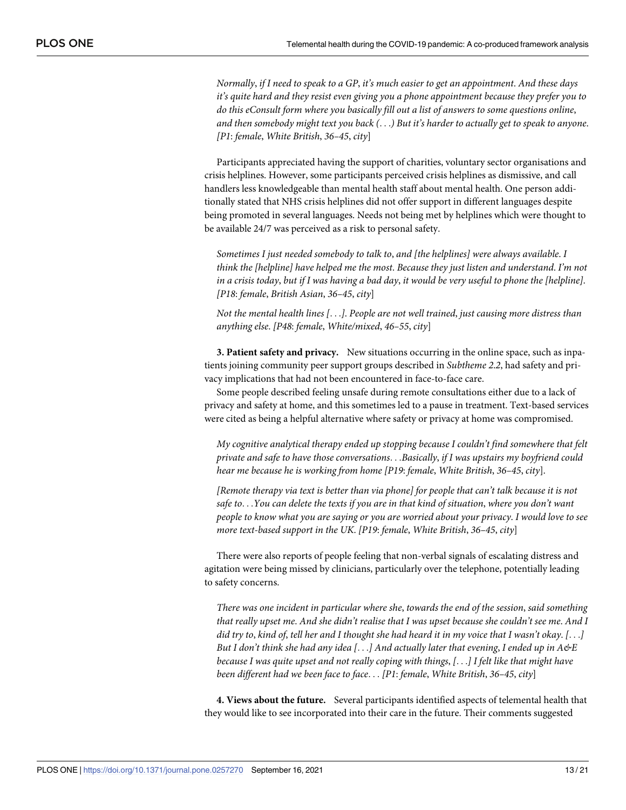Normally, if I need to speak to a GP, it's much easier to get an appointment. And these days *it's quite hard and they resist even giving you a phone appointment because they prefer you to do this eConsult form where you basically fill out a list of answers to some questions online*, and then somebody might text you back (...) But it's harder to actually get to speak to anyone. *[P1*: *female*, *White British*, *36–45*, *city*]

Participants appreciated having the support of charities, voluntary sector organisations and crisis helplines. However, some participants perceived crisis helplines as dismissive, and call handlers less knowledgeable than mental health staff about mental health. One person additionally stated that NHS crisis helplines did not offer support in different languages despite being promoted in several languages. Needs not being met by helplines which were thought to be available 24/7 was perceived as a risk to personal safety.

*Sometimes I just needed somebody to talk to*, *and [the helplines] were always available*. *I think the [helpline] have helped me the most*. *Because they just listen and understand*. *I'm not* in a crisis today, but if I was having a bad day, it would be very useful to phone the [helpline]. *[P18*: *female*, *British Asian*, *36–45*, *city*]

*Not the mental health lines [*. . .*]*. *People are not well trained*, *just causing more distress than anything else*. *[P48*: *female*, *White/mixed*, *46–55*, *city*]

**3. Patient safety and privacy.** New situations occurring in the online space, such as inpatients joining community peer support groups described in *Subtheme 2*.*2*, had safety and privacy implications that had not been encountered in face-to-face care.

Some people described feeling unsafe during remote consultations either due to a lack of privacy and safety at home, and this sometimes led to a pause in treatment. Text-based services were cited as being a helpful alternative where safety or privacy at home was compromised.

*My cognitive analytical therapy ended up stopping because I couldn't find somewhere that felt private and safe to have those conversations*. . .*Basically*, *if I was upstairs my boyfriend could hear me because he is working from home [P19*: *female*, *White British*, *36–45*, *city*].

*[Remote therapy via text is better than via phone] for people that can't talk because it is not* safe to...You can delete the texts if you are in that kind of situation, where you don't want people to know what you are saying or you are worried about your privacy. I would love to see *more text-based support in the UK*. *[P19*: *female*, *White British*, *36–45*, *city*]

There were also reports of people feeling that non-verbal signals of escalating distress and agitation were being missed by clinicians, particularly over the telephone, potentially leading to safety concerns.

*There was one incident in particular where she*, *towards the end of the session*, *said something* that really upset me. And she didn't realise that I was upset because she couldn't see me. And I did try to, kind of, tell her and I thought she had heard it in my voice that I wasn't okay. [...] But I don't think she had any idea [...] And actually later that evening, I ended up in  $A \& E$ because I was quite upset and not really coping with things,  $[...]$  I felt like that might have *been different had we been face to face*. . . *[P1*: *female*, *White British*, *36–45*, *city*]

**4. Views about the future.** Several participants identified aspects of telemental health that they would like to see incorporated into their care in the future. Their comments suggested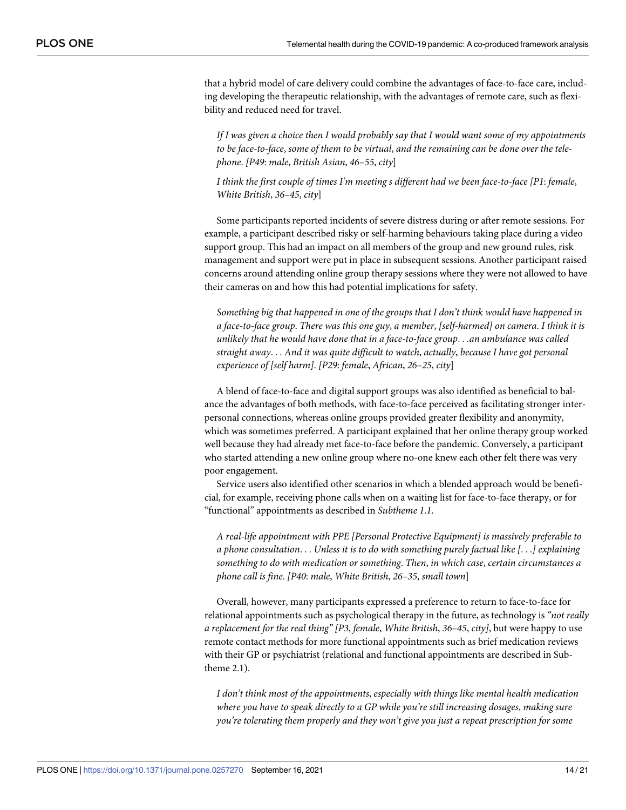that a hybrid model of care delivery could combine the advantages of face-to-face care, including developing the therapeutic relationship, with the advantages of remote care, such as flexibility and reduced need for travel.

*If I was given a choice then I would probably say that I would want some of my appointments to be face-to-face*, *some of them to be virtual*, *and the remaining can be done over the telephone*. *[P49*: *male*, *British Asian*, *46–55*, *city*]

*I think the first couple of times I'm meeting s different had we been face-to-face [P1*: *female*, *White British*, *36–45*, *city*]

Some participants reported incidents of severe distress during or after remote sessions. For example, a participant described risky or self-harming behaviours taking place during a video support group. This had an impact on all members of the group and new ground rules, risk management and support were put in place in subsequent sessions. Another participant raised concerns around attending online group therapy sessions where they were not allowed to have their cameras on and how this had potential implications for safety.

*Something big that happened in one of the groups that I don't think would have happened in a face-to-face group*. *There was this one guy*, *a member*, *[self-harmed] on camera*. *I think it is unlikely that he would have done that in a face-to-face group*. . .*an ambulance was called straight away*. . . *And it was quite difficult to watch*, *actually*, *because I have got personal experience of [self harm]*. *[P29*: *female*, *African*, *26–25*, *city*]

A blend of face-to-face and digital support groups was also identified as beneficial to balance the advantages of both methods, with face-to-face perceived as facilitating stronger interpersonal connections, whereas online groups provided greater flexibility and anonymity, which was sometimes preferred. A participant explained that her online therapy group worked well because they had already met face-to-face before the pandemic. Conversely, a participant who started attending a new online group where no-one knew each other felt there was very poor engagement.

Service users also identified other scenarios in which a blended approach would be beneficial, for example, receiving phone calls when on a waiting list for face-to-face therapy, or for "functional" appointments as described in *Subtheme 1*.*1*.

*A real-life appointment with PPE [Personal Protective Equipment] is massively preferable to a phone consultation*. . . *Unless it is to do with something purely factual like [*. . .*] explaining something to do with medication or something*. *Then*, *in which case*, *certain circumstances a phone call is fine*. *[P40*: *male*, *White British*, *26–35*, *small town*]

Overall, however, many participants expressed a preference to return to face-to-face for relational appointments such as psychological therapy in the future, as technology is *"not really a replacement for the real thing" [P3*, *female*, *White British*, *36–45*, *city]*, but were happy to use remote contact methods for more functional appointments such as brief medication reviews with their GP or psychiatrist (relational and functional appointments are described in Subtheme 2.1).

*I don't think most of the appointments*, *especially with things like mental health medication where you have to speak directly to a GP while you're still increasing dosages*, *making sure you're tolerating them properly and they won't give you just a repeat prescription for some*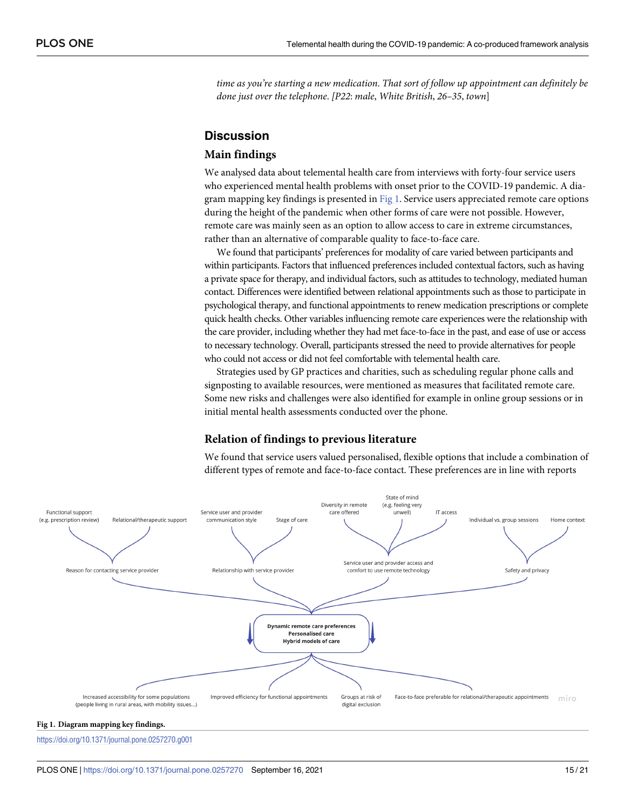*time as you're starting a new medication*. *That sort of follow up appointment can definitely be done just over the telephone*. *[P22*: *male*, *White British*, *26–35*, *town*]

#### **Discussion**

#### **Main findings**

We analysed data about telemental health care from interviews with forty-four service users who experienced mental health problems with onset prior to the COVID-19 pandemic. A diagram mapping key findings is presented in Fig 1. Service users appreciated remote care options during the height of the pandemic when other forms of care were not possible. However, remote care was mainly seen as an option to allow access to care in extreme circumstances, rather than an alternative of comparable quality to face-to-face care.

We found that participants' preferences for modality of care varied between participants and within participants. Factors that influenced preferences included contextual factors, such as having a private space for therapy, and individual factors, such as attitudes to technology, mediated human contact. Differences were identified between relational appointments such as those to participate in psychological therapy, and functional appointments to renew medication prescriptions or complete quick health checks. Other variables influencing remote care experiences were the relationship with the care provider, including whether they had met face-to-face in the past, and ease of use or access to necessary technology. Overall, participants stressed the need to provide alternatives for people who could not access or did not feel comfortable with telemental health care.

Strategies used by GP practices and charities, such as scheduling regular phone calls and signposting to available resources, were mentioned as measures that facilitated remote care. Some new risks and challenges were also identified for example in online group sessions or in initial mental health assessments conducted over the phone.

#### **Relation of findings to previous literature**

We found that service users valued personalised, flexible options that include a combination of different types of remote and face-to-face contact. These preferences are in line with reports



#### **Fig 1. Diagram mapping key findings.**

<https://doi.org/10.1371/journal.pone.0257270.g001>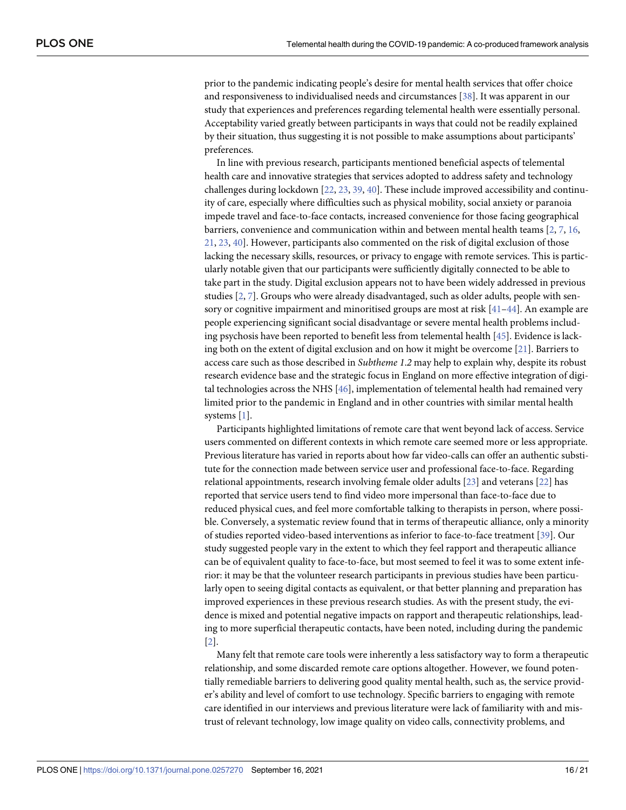<span id="page-15-0"></span>prior to the pandemic indicating people's desire for mental health services that offer choice and responsiveness to individualised needs and circumstances [\[38\]](#page-20-0). It was apparent in our study that experiences and preferences regarding telemental health were essentially personal. Acceptability varied greatly between participants in ways that could not be readily explained by their situation, thus suggesting it is not possible to make assumptions about participants' preferences.

In line with previous research, participants mentioned beneficial aspects of telemental health care and innovative strategies that services adopted to address safety and technology challenges during lockdown [\[22,](#page-19-0) [23,](#page-19-0) [39,](#page-20-0) [40](#page-20-0)]. These include improved accessibility and continuity of care, especially where difficulties such as physical mobility, social anxiety or paranoia impede travel and face-to-face contacts, increased convenience for those facing geographical barriers, convenience and communication within and between mental health teams [\[2](#page-18-0), [7](#page-18-0), [16](#page-19-0), [21,](#page-19-0) [23](#page-19-0), [40](#page-20-0)]. However, participants also commented on the risk of digital exclusion of those lacking the necessary skills, resources, or privacy to engage with remote services. This is particularly notable given that our participants were sufficiently digitally connected to be able to take part in the study. Digital exclusion appears not to have been widely addressed in previous studies [\[2](#page-18-0), [7](#page-18-0)]. Groups who were already disadvantaged, such as older adults, people with sensory or cognitive impairment and minoritised groups are most at risk [\[41–44](#page-20-0)]. An example are people experiencing significant social disadvantage or severe mental health problems including psychosis have been reported to benefit less from telemental health [[45](#page-20-0)]. Evidence is lacking both on the extent of digital exclusion and on how it might be overcome  $[21]$  $[21]$  $[21]$ . Barriers to access care such as those described in *Subtheme 1*.*2* may help to explain why, despite its robust research evidence base and the strategic focus in England on more effective integration of digital technologies across the NHS [\[46\]](#page-20-0), implementation of telemental health had remained very limited prior to the pandemic in England and in other countries with similar mental health systems [\[1](#page-18-0)].

Participants highlighted limitations of remote care that went beyond lack of access. Service users commented on different contexts in which remote care seemed more or less appropriate. Previous literature has varied in reports about how far video-calls can offer an authentic substitute for the connection made between service user and professional face-to-face. Regarding relational appointments, research involving female older adults [\[23\]](#page-19-0) and veterans [\[22\]](#page-19-0) has reported that service users tend to find video more impersonal than face-to-face due to reduced physical cues, and feel more comfortable talking to therapists in person, where possible. Conversely, a systematic review found that in terms of therapeutic alliance, only a minority of studies reported video-based interventions as inferior to face-to-face treatment [\[39\]](#page-20-0). Our study suggested people vary in the extent to which they feel rapport and therapeutic alliance can be of equivalent quality to face-to-face, but most seemed to feel it was to some extent inferior: it may be that the volunteer research participants in previous studies have been particularly open to seeing digital contacts as equivalent, or that better planning and preparation has improved experiences in these previous research studies. As with the present study, the evidence is mixed and potential negative impacts on rapport and therapeutic relationships, leading to more superficial therapeutic contacts, have been noted, including during the pandemic [\[2](#page-18-0)].

Many felt that remote care tools were inherently a less satisfactory way to form a therapeutic relationship, and some discarded remote care options altogether. However, we found potentially remediable barriers to delivering good quality mental health, such as, the service provider's ability and level of comfort to use technology. Specific barriers to engaging with remote care identified in our interviews and previous literature were lack of familiarity with and mistrust of relevant technology, low image quality on video calls, connectivity problems, and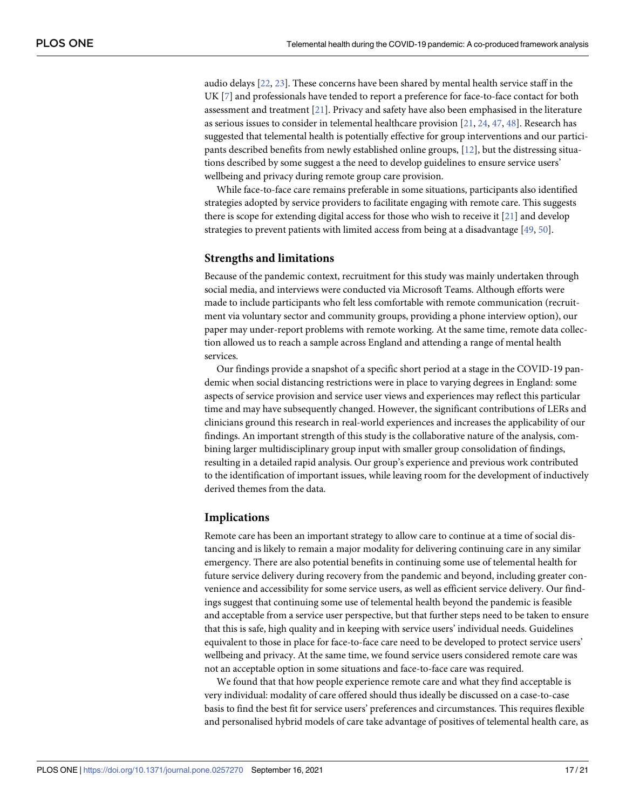<span id="page-16-0"></span>audio delays [[22](#page-19-0), [23](#page-19-0)]. These concerns have been shared by mental health service staff in the UK [[7](#page-18-0)] and professionals have tended to report a preference for face-to-face contact for both assessment and treatment [\[21\]](#page-19-0). Privacy and safety have also been emphasised in the literature as serious issues to consider in telemental healthcare provision [[21](#page-19-0), [24](#page-19-0), [47,](#page-20-0) [48\]](#page-20-0). Research has suggested that telemental health is potentially effective for group interventions and our participants described benefits from newly established online groups, [\[12\]](#page-19-0), but the distressing situations described by some suggest a the need to develop guidelines to ensure service users' wellbeing and privacy during remote group care provision.

While face-to-face care remains preferable in some situations, participants also identified strategies adopted by service providers to facilitate engaging with remote care. This suggests there is scope for extending digital access for those who wish to receive it [[21](#page-19-0)] and develop strategies to prevent patients with limited access from being at a disadvantage [[49](#page-20-0), [50](#page-20-0)].

#### **Strengths and limitations**

Because of the pandemic context, recruitment for this study was mainly undertaken through social media, and interviews were conducted via Microsoft Teams. Although efforts were made to include participants who felt less comfortable with remote communication (recruitment via voluntary sector and community groups, providing a phone interview option), our paper may under-report problems with remote working. At the same time, remote data collection allowed us to reach a sample across England and attending a range of mental health services.

Our findings provide a snapshot of a specific short period at a stage in the COVID-19 pandemic when social distancing restrictions were in place to varying degrees in England: some aspects of service provision and service user views and experiences may reflect this particular time and may have subsequently changed. However, the significant contributions of LERs and clinicians ground this research in real-world experiences and increases the applicability of our findings. An important strength of this study is the collaborative nature of the analysis, combining larger multidisciplinary group input with smaller group consolidation of findings, resulting in a detailed rapid analysis. Our group's experience and previous work contributed to the identification of important issues, while leaving room for the development of inductively derived themes from the data.

#### **Implications**

Remote care has been an important strategy to allow care to continue at a time of social distancing and is likely to remain a major modality for delivering continuing care in any similar emergency. There are also potential benefits in continuing some use of telemental health for future service delivery during recovery from the pandemic and beyond, including greater convenience and accessibility for some service users, as well as efficient service delivery. Our findings suggest that continuing some use of telemental health beyond the pandemic is feasible and acceptable from a service user perspective, but that further steps need to be taken to ensure that this is safe, high quality and in keeping with service users' individual needs. Guidelines equivalent to those in place for face-to-face care need to be developed to protect service users' wellbeing and privacy. At the same time, we found service users considered remote care was not an acceptable option in some situations and face-to-face care was required.

We found that that how people experience remote care and what they find acceptable is very individual: modality of care offered should thus ideally be discussed on a case-to-case basis to find the best fit for service users' preferences and circumstances. This requires flexible and personalised hybrid models of care take advantage of positives of telemental health care, as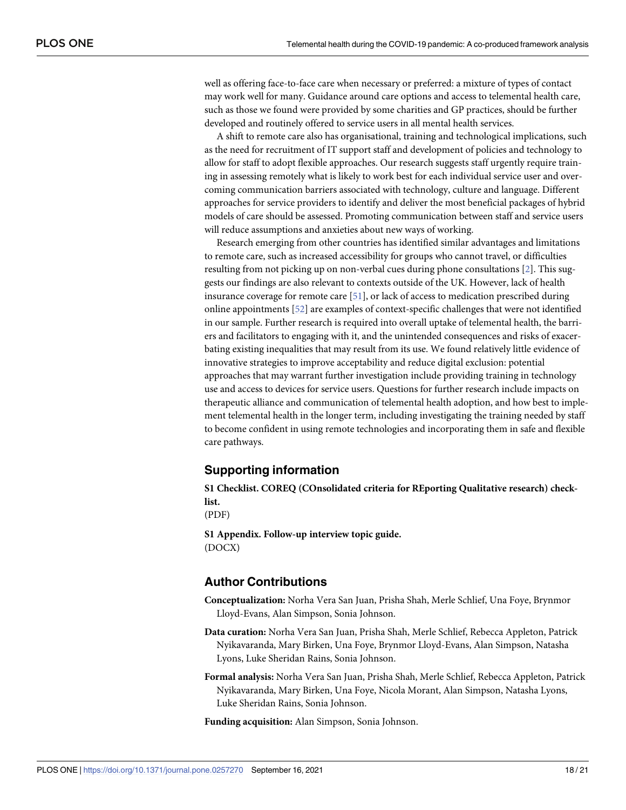<span id="page-17-0"></span>well as offering face-to-face care when necessary or preferred: a mixture of types of contact may work well for many. Guidance around care options and access to telemental health care, such as those we found were provided by some charities and GP practices, should be further developed and routinely offered to service users in all mental health services.

A shift to remote care also has organisational, training and technological implications, such as the need for recruitment of IT support staff and development of policies and technology to allow for staff to adopt flexible approaches. Our research suggests staff urgently require training in assessing remotely what is likely to work best for each individual service user and overcoming communication barriers associated with technology, culture and language. Different approaches for service providers to identify and deliver the most beneficial packages of hybrid models of care should be assessed. Promoting communication between staff and service users will reduce assumptions and anxieties about new ways of working.

Research emerging from other countries has identified similar advantages and limitations to remote care, such as increased accessibility for groups who cannot travel, or difficulties resulting from not picking up on non-verbal cues during phone consultations [[2\]](#page-18-0). This suggests our findings are also relevant to contexts outside of the UK. However, lack of health insurance coverage for remote care [\[51\]](#page-20-0), or lack of access to medication prescribed during online appointments [[52](#page-20-0)] are examples of context-specific challenges that were not identified in our sample. Further research is required into overall uptake of telemental health, the barriers and facilitators to engaging with it, and the unintended consequences and risks of exacerbating existing inequalities that may result from its use. We found relatively little evidence of innovative strategies to improve acceptability and reduce digital exclusion: potential approaches that may warrant further investigation include providing training in technology use and access to devices for service users. Questions for further research include impacts on therapeutic alliance and communication of telemental health adoption, and how best to implement telemental health in the longer term, including investigating the training needed by staff to become confident in using remote technologies and incorporating them in safe and flexible care pathways.

#### **Supporting information**

**S1 [Checklist.](http://www.plosone.org/article/fetchSingleRepresentation.action?uri=info:doi/10.1371/journal.pone.0257270.s001) COREQ (COnsolidated criteria for REporting Qualitative research) checklist.**

(PDF)

**S1 [Appendix](http://www.plosone.org/article/fetchSingleRepresentation.action?uri=info:doi/10.1371/journal.pone.0257270.s002). Follow-up interview topic guide.** (DOCX)

#### **Author Contributions**

**Conceptualization:** Norha Vera San Juan, Prisha Shah, Merle Schlief, Una Foye, Brynmor Lloyd-Evans, Alan Simpson, Sonia Johnson.

- **Data curation:** Norha Vera San Juan, Prisha Shah, Merle Schlief, Rebecca Appleton, Patrick Nyikavaranda, Mary Birken, Una Foye, Brynmor Lloyd-Evans, Alan Simpson, Natasha Lyons, Luke Sheridan Rains, Sonia Johnson.
- **Formal analysis:** Norha Vera San Juan, Prisha Shah, Merle Schlief, Rebecca Appleton, Patrick Nyikavaranda, Mary Birken, Una Foye, Nicola Morant, Alan Simpson, Natasha Lyons, Luke Sheridan Rains, Sonia Johnson.

**Funding acquisition:** Alan Simpson, Sonia Johnson.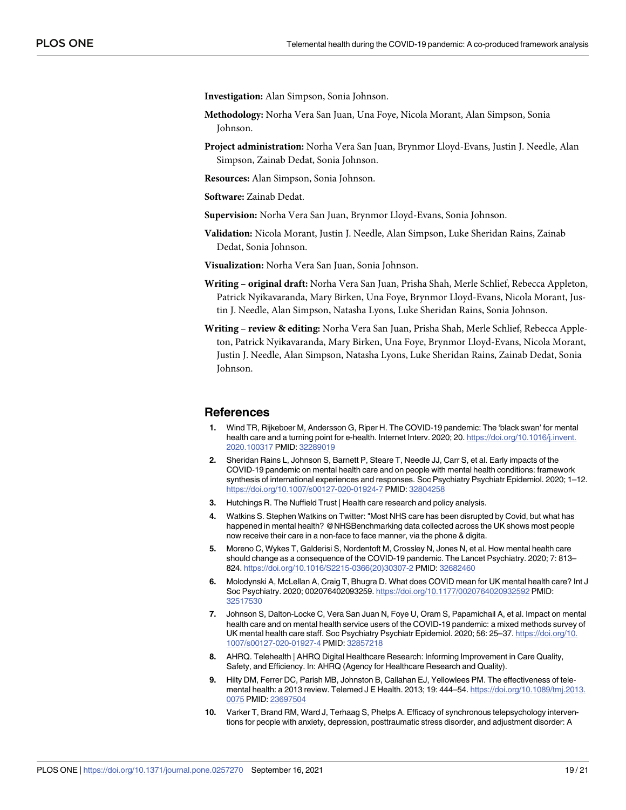<span id="page-18-0"></span>**Investigation:** Alan Simpson, Sonia Johnson.

- **Methodology:** Norha Vera San Juan, Una Foye, Nicola Morant, Alan Simpson, Sonia Johnson.
- **Project administration:** Norha Vera San Juan, Brynmor Lloyd-Evans, Justin J. Needle, Alan Simpson, Zainab Dedat, Sonia Johnson.
- **Resources:** Alan Simpson, Sonia Johnson.

**Software:** Zainab Dedat.

- **Supervision:** Norha Vera San Juan, Brynmor Lloyd-Evans, Sonia Johnson.
- **Validation:** Nicola Morant, Justin J. Needle, Alan Simpson, Luke Sheridan Rains, Zainab Dedat, Sonia Johnson.

**Visualization:** Norha Vera San Juan, Sonia Johnson.

- **Writing – original draft:** Norha Vera San Juan, Prisha Shah, Merle Schlief, Rebecca Appleton, Patrick Nyikavaranda, Mary Birken, Una Foye, Brynmor Lloyd-Evans, Nicola Morant, Justin J. Needle, Alan Simpson, Natasha Lyons, Luke Sheridan Rains, Sonia Johnson.
- **Writing – review & editing:** Norha Vera San Juan, Prisha Shah, Merle Schlief, Rebecca Appleton, Patrick Nyikavaranda, Mary Birken, Una Foye, Brynmor Lloyd-Evans, Nicola Morant, Justin J. Needle, Alan Simpson, Natasha Lyons, Luke Sheridan Rains, Zainab Dedat, Sonia Johnson.

#### **References**

- **[1](#page-1-0).** Wind TR, Rijkeboer M, Andersson G, Riper H. The COVID-19 pandemic: The 'black swan' for mental health care and a turning point for e-health. Internet Interv. 2020; 20. [https://doi.org/10.1016/j.invent.](https://doi.org/10.1016/j.invent.2020.100317) [2020.100317](https://doi.org/10.1016/j.invent.2020.100317) PMID: [32289019](http://www.ncbi.nlm.nih.gov/pubmed/32289019)
- **[2](#page-1-0).** Sheridan Rains L, Johnson S, Barnett P, Steare T, Needle JJ, Carr S, et al. Early impacts of the COVID-19 pandemic on mental health care and on people with mental health conditions: framework synthesis of international experiences and responses. Soc Psychiatry Psychiatr Epidemiol. 2020; 1–12. <https://doi.org/10.1007/s00127-020-01924-7> PMID: [32804258](http://www.ncbi.nlm.nih.gov/pubmed/32804258)
- **[3](#page-1-0).** Hutchings R. The Nuffield Trust | Health care research and policy analysis.
- **[4](#page-1-0).** Watkins S. Stephen Watkins on Twitter: "Most NHS care has been disrupted by Covid, but what has happened in mental health? @NHSBenchmarking data collected across the UK shows most people now receive their care in a non-face to face manner, via the phone & digita.
- **[5](#page-1-0).** Moreno C, Wykes T, Galderisi S, Nordentoft M, Crossley N, Jones N, et al. How mental health care should change as a consequence of the COVID-19 pandemic. The Lancet Psychiatry. 2020; 7: 813– 824. [https://doi.org/10.1016/S2215-0366\(20\)30307-2](https://doi.org/10.1016/S2215-0366%2820%2930307-2) PMID: [32682460](http://www.ncbi.nlm.nih.gov/pubmed/32682460)
- **[6](#page-1-0).** Molodynski A, McLellan A, Craig T, Bhugra D. What does COVID mean for UK mental health care? Int J Soc Psychiatry. 2020; 002076402093259. <https://doi.org/10.1177/0020764020932592> PMID: [32517530](http://www.ncbi.nlm.nih.gov/pubmed/32517530)
- **[7](#page-1-0).** Johnson S, Dalton-Locke C, Vera San Juan N, Foye U, Oram S, Papamichail A, et al. Impact on mental health care and on mental health service users of the COVID-19 pandemic: a mixed methods survey of UK mental health care staff. Soc Psychiatry Psychiatr Epidemiol. 2020; 56: 25–37. [https://doi.org/10.](https://doi.org/10.1007/s00127-020-01927-4) [1007/s00127-020-01927-4](https://doi.org/10.1007/s00127-020-01927-4) PMID: [32857218](http://www.ncbi.nlm.nih.gov/pubmed/32857218)
- **[8](#page-1-0).** AHRQ. Telehealth | AHRQ Digital Healthcare Research: Informing Improvement in Care Quality, Safety, and Efficiency. In: AHRQ (Agency for Healthcare Research and Quality).
- **[9](#page-1-0).** Hilty DM, Ferrer DC, Parish MB, Johnston B, Callahan EJ, Yellowlees PM. The effectiveness of telemental health: a 2013 review. Telemed J E Health. 2013; 19: 444–54. [https://doi.org/10.1089/tmj.2013.](https://doi.org/10.1089/tmj.2013.0075) [0075](https://doi.org/10.1089/tmj.2013.0075) PMID: [23697504](http://www.ncbi.nlm.nih.gov/pubmed/23697504)
- **[10](#page-1-0).** Varker T, Brand RM, Ward J, Terhaag S, Phelps A. Efficacy of synchronous telepsychology interventions for people with anxiety, depression, posttraumatic stress disorder, and adjustment disorder: A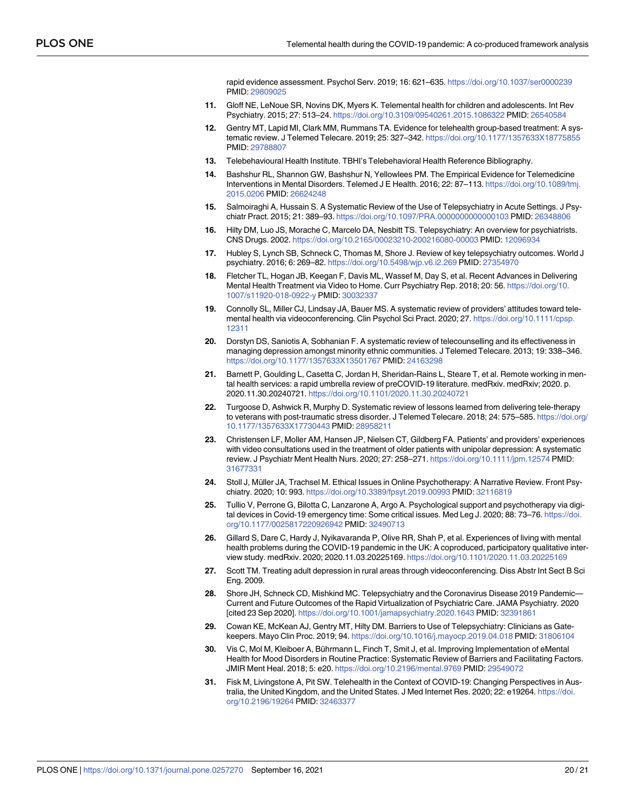rapid evidence assessment. Psychol Serv. 2019; 16: 621–635. <https://doi.org/10.1037/ser0000239> PMID: [29809025](http://www.ncbi.nlm.nih.gov/pubmed/29809025)

- <span id="page-19-0"></span>**11.** Gloff NE, LeNoue SR, Novins DK, Myers K. Telemental health for children and adolescents. Int Rev Psychiatry. 2015; 27: 513–24. <https://doi.org/10.3109/09540261.2015.1086322> PMID: [26540584](http://www.ncbi.nlm.nih.gov/pubmed/26540584)
- **[12](#page-16-0).** Gentry MT, Lapid MI, Clark MM, Rummans TA. Evidence for telehealth group-based treatment: A systematic review. J Telemed Telecare. 2019; 25: 327–342. <https://doi.org/10.1177/1357633X18775855> PMID: [29788807](http://www.ncbi.nlm.nih.gov/pubmed/29788807)
- **13.** Telebehavioural Health Institute. TBHI's Telebehavioral Health Reference Bibliography.
- **14.** Bashshur RL, Shannon GW, Bashshur N, Yellowlees PM. The Empirical Evidence for Telemedicine Interventions in Mental Disorders. Telemed J E Health. 2016; 22: 87–113. [https://doi.org/10.1089/tmj.](https://doi.org/10.1089/tmj.2015.0206) [2015.0206](https://doi.org/10.1089/tmj.2015.0206) PMID: [26624248](http://www.ncbi.nlm.nih.gov/pubmed/26624248)
- **[15](#page-1-0).** Salmoiraghi A, Hussain S. A Systematic Review of the Use of Telepsychiatry in Acute Settings. J Psychiatr Pract. 2015; 21: 389–93. <https://doi.org/10.1097/PRA.0000000000000103> PMID: [26348806](http://www.ncbi.nlm.nih.gov/pubmed/26348806)
- **[16](#page-1-0).** Hilty DM, Luo JS, Morache C, Marcelo DA, Nesbitt TS. Telepsychiatry: An overview for psychiatrists. CNS Drugs. 2002. <https://doi.org/10.2165/00023210-200216080-00003> PMID: [12096934](http://www.ncbi.nlm.nih.gov/pubmed/12096934)
- **[17](#page-2-0).** Hubley S, Lynch SB, Schneck C, Thomas M, Shore J. Review of key telepsychiatry outcomes. World J psychiatry. 2016; 6: 269–82. <https://doi.org/10.5498/wjp.v6.i2.269> PMID: [27354970](http://www.ncbi.nlm.nih.gov/pubmed/27354970)
- **[18](#page-1-0).** Fletcher TL, Hogan JB, Keegan F, Davis ML, Wassef M, Day S, et al. Recent Advances in Delivering Mental Health Treatment via Video to Home. Curr Psychiatry Rep. 2018; 20: 56. [https://doi.org/10.](https://doi.org/10.1007/s11920-018-0922-y) [1007/s11920-018-0922-y](https://doi.org/10.1007/s11920-018-0922-y) PMID: [30032337](http://www.ncbi.nlm.nih.gov/pubmed/30032337)
- **[19](#page-1-0).** Connolly SL, Miller CJ, Lindsay JA, Bauer MS. A systematic review of providers' attitudes toward telemental health via videoconferencing. Clin Psychol Sci Pract. 2020; 27. [https://doi.org/10.1111/cpsp.](https://doi.org/10.1111/cpsp.12311) [12311](https://doi.org/10.1111/cpsp.12311)
- **[20](#page-2-0).** Dorstyn DS, Saniotis A, Sobhanian F. A systematic review of telecounselling and its effectiveness in managing depression amongst minority ethnic communities. J Telemed Telecare. 2013; 19: 338–346. <https://doi.org/10.1177/1357633X13501767> PMID: [24163298](http://www.ncbi.nlm.nih.gov/pubmed/24163298)
- **[21](#page-2-0).** Barnett P, Goulding L, Casetta C, Jordan H, Sheridan-Rains L, Steare T, et al. Remote working in mental health services: a rapid umbrella review of preCOVID-19 literature. medRxiv. medRxiv; 2020. p. 2020.11.30.20240721. <https://doi.org/10.1101/2020.11.30.20240721>
- **[22](#page-2-0).** Turgoose D, Ashwick R, Murphy D. Systematic review of lessons learned from delivering tele-therapy to veterans with post-traumatic stress disorder. J Telemed Telecare. 2018; 24: 575-585. [https://doi.org/](https://doi.org/10.1177/1357633X17730443) [10.1177/1357633X17730443](https://doi.org/10.1177/1357633X17730443) PMID: [28958211](http://www.ncbi.nlm.nih.gov/pubmed/28958211)
- **[23](#page-2-0).** Christensen LF, Moller AM, Hansen JP, Nielsen CT, Gildberg FA. Patients' and providers' experiences with video consultations used in the treatment of older patients with unipolar depression: A systematic review. J Psychiatr Ment Health Nurs. 2020; 27: 258–271. <https://doi.org/10.1111/jpm.12574> PMID: [31677331](http://www.ncbi.nlm.nih.gov/pubmed/31677331)
- [24](#page-2-0). Stoll J, Müller JA, Trachsel M. Ethical Issues in Online Psychotherapy: A Narrative Review. Front Psychiatry. 2020; 10: 993. <https://doi.org/10.3389/fpsyt.2019.00993> PMID: [32116819](http://www.ncbi.nlm.nih.gov/pubmed/32116819)
- **25.** Tullio V, Perrone G, Bilotta C, Lanzarone A, Argo A. Psychological support and psychotherapy via digital devices in Covid-19 emergency time: Some critical issues. Med Leg J. 2020; 88: 73–76. [https://doi.](https://doi.org/10.1177/0025817220926942) [org/10.1177/0025817220926942](https://doi.org/10.1177/0025817220926942) PMID: [32490713](http://www.ncbi.nlm.nih.gov/pubmed/32490713)
- **[26](#page-2-0).** Gillard S, Dare C, Hardy J, Nyikavaranda P, Olive RR, Shah P, et al. Experiences of living with mental health problems during the COVID-19 pandemic in the UK: A coproduced, participatory qualitative interview study. medRxiv. 2020; 2020.11.03.20225169. <https://doi.org/10.1101/2020.11.03.20225169>
- **[27](#page-2-0).** Scott TM. Treating adult depression in rural areas through videoconferencing. Diss Abstr Int Sect B Sci Eng. 2009.
- **28.** Shore JH, Schneck CD, Mishkind MC. Telepsychiatry and the Coronavirus Disease 2019 Pandemic— Current and Future Outcomes of the Rapid Virtualization of Psychiatric Care. JAMA Psychiatry. 2020 [cited 23 Sep 2020]. <https://doi.org/10.1001/jamapsychiatry.2020.1643> PMID: [32391861](http://www.ncbi.nlm.nih.gov/pubmed/32391861)
- **29.** Cowan KE, McKean AJ, Gentry MT, Hilty DM. Barriers to Use of Telepsychiatry: Clinicians as Gatekeepers. Mayo Clin Proc. 2019; 94. <https://doi.org/10.1016/j.mayocp.2019.04.018> PMID: [31806104](http://www.ncbi.nlm.nih.gov/pubmed/31806104)
- **[30](#page-2-0).** Vis C, Mol M, Kleiboer A, Bührmann L, Finch T, Smit J, et al. Improving Implementation of eMental Health for Mood Disorders in Routine Practice: Systematic Review of Barriers and Facilitating Factors. JMIR Ment Heal. 2018; 5: e20. <https://doi.org/10.2196/mental.9769> PMID: [29549072](http://www.ncbi.nlm.nih.gov/pubmed/29549072)
- **[31](#page-2-0).** Fisk M, Livingstone A, Pit SW. Telehealth in the Context of COVID-19: Changing Perspectives in Australia, the United Kingdom, and the United States. J Med Internet Res. 2020; 22: e19264. [https://doi.](https://doi.org/10.2196/19264) [org/10.2196/19264](https://doi.org/10.2196/19264) PMID: [32463377](http://www.ncbi.nlm.nih.gov/pubmed/32463377)